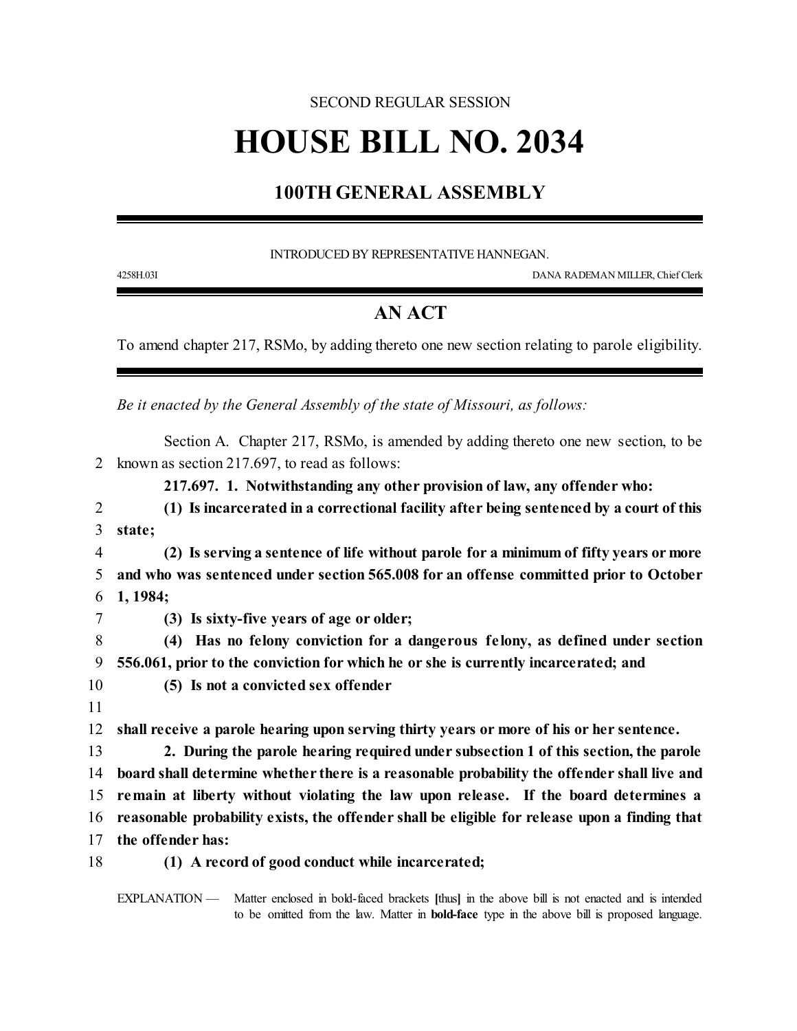#### SECOND REGULAR SESSION

# **HOUSE BILL NO. 2034**

## **100TH GENERAL ASSEMBLY**

#### INTRODUCED BY REPRESENTATIVE HANNEGAN.

4258H.03I DANA RADEMAN MILLER, Chief Clerk

### **AN ACT**

To amend chapter 217, RSMo, by adding thereto one new section relating to parole eligibility.

*Be it enacted by the General Assembly of the state of Missouri, as follows:*

Section A. Chapter 217, RSMo, is amended by adding thereto one new section, to be 2 known as section 217.697, to read as follows:

**217.697. 1. Notwithstanding any other provision of law, any offender who:**

2 **(1) Is incarcerated in a correctional facility after being sentenced by a court of this** 3 **state;**

4 **(2) Is serving a sentence of life without parole for a minimum of fifty years or more** 5 **and who was sentenced under section 565.008 for an offense committed prior to October** 6 **1, 1984;**

7 **(3) Is sixty-five years of age or older;**

8 **(4) Has no felony conviction for a dangerous felony, as defined under section** 9 **556.061, prior to the conviction for which he or she is currently incarcerated; and**

10 **(5) Is not a convicted sex offender**

11

12 **shall receive a parole hearing upon serving thirty years or more of his or her sentence.**

 **2. During the parole hearing required under subsection 1 of this section, the parole board shall determine whether there is a reasonable probability the offender shall live and remain at liberty without violating the law upon release. If the board determines a reasonable probability exists, the offender shall be eligible for release upon a finding that**

- 17 **the offender has:**
- 18 **(1) A record of good conduct while incarcerated;**

EXPLANATION — Matter enclosed in bold-faced brackets **[**thus**]** in the above bill is not enacted and is intended to be omitted from the law. Matter in **bold-face** type in the above bill is proposed language.